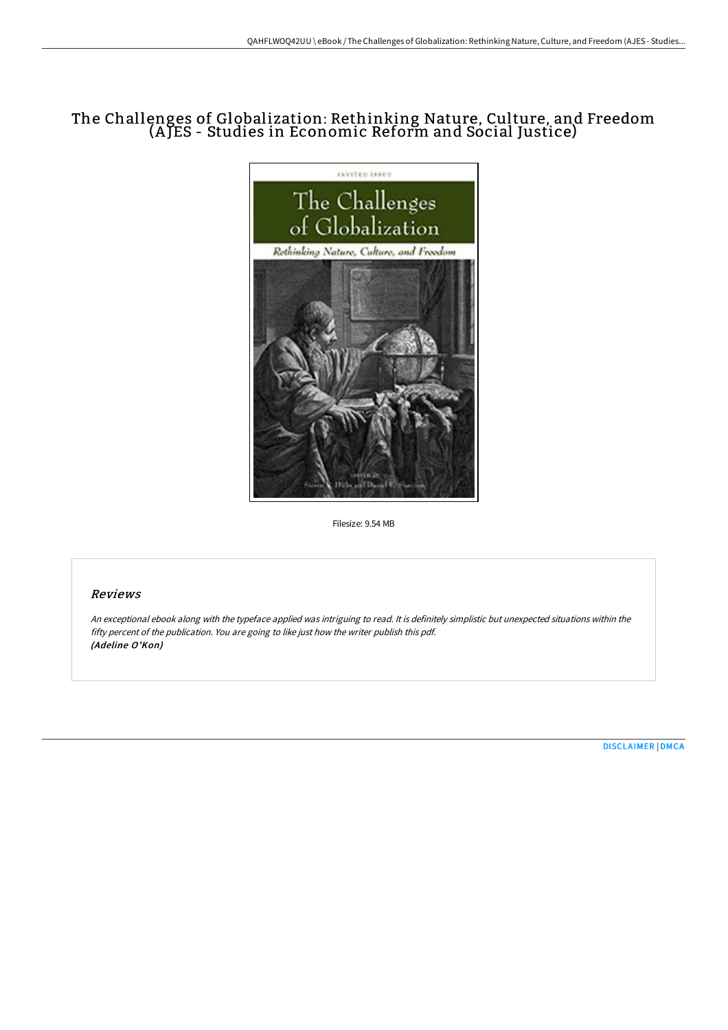# The Challenges of Globalization: Rethinking Nature, Culture, and Freedom (A JES - Studies in Economic Reform and Social Justice)



Filesize: 9.54 MB

## Reviews

An exceptional ebook along with the typeface applied was intriguing to read. It is definitely simplistic but unexpected situations within the fifty percent of the publication. You are going to like just how the writer publish this pdf. (Adeline O'Kon)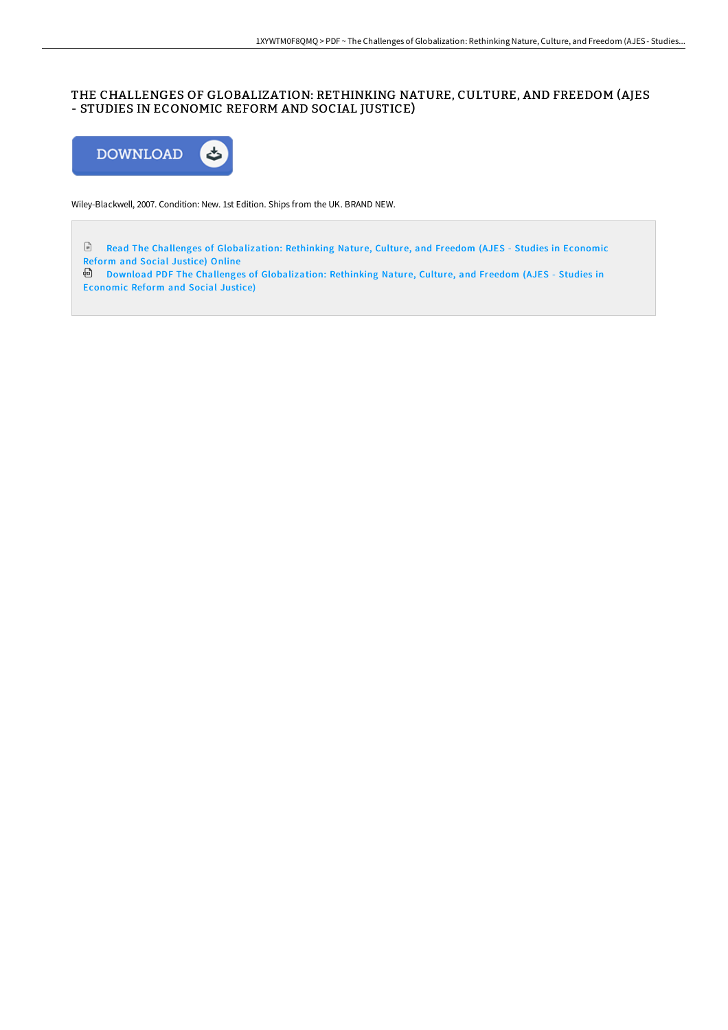## THE CHALLENGES OF GLOBALIZATION: RETHINKING NATURE, CULTURE, AND FREEDOM (AJES - STUDIES IN ECONOMIC REFORM AND SOCIAL JUSTICE)



Wiley-Blackwell, 2007. Condition: New. 1st Edition. Ships from the UK. BRAND NEW.

Read The Challenges of [Globalization:](http://techno-pub.tech/the-challenges-of-globalization-rethinking-natur.html) Rethinking Nature, Culture, and Freedom (AJES - Studies in Economic Reform and Social Justice) Online

Download PDF The Challenges of [Globalization:](http://techno-pub.tech/the-challenges-of-globalization-rethinking-natur.html) Rethinking Nature, Culture, and Freedom (AJES - Studies in Economic Reform and Social Justice)